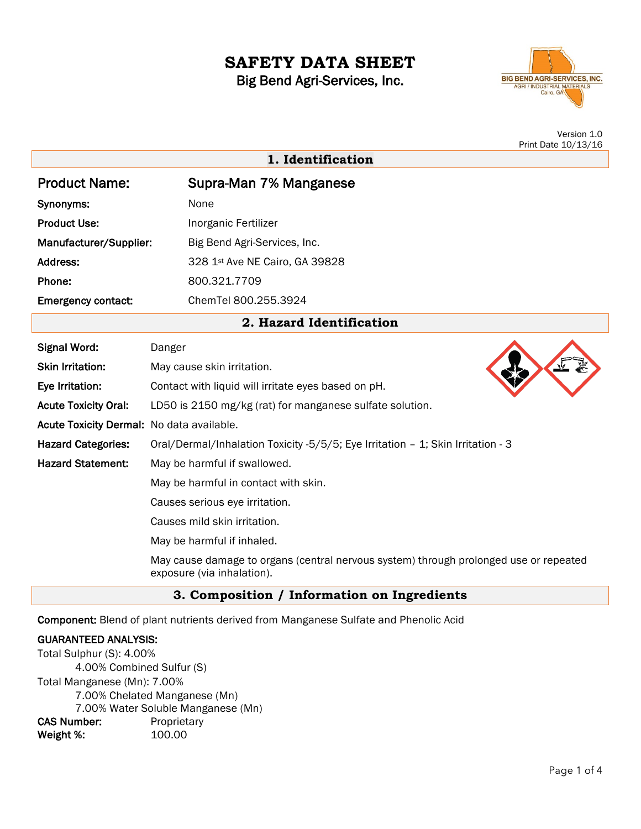# **SAFETY DATA SHEET**

Big Bend Agri-Services, Inc.



Version 1.0 Print Date 10/13/16

|                           | 1. Identification              |
|---------------------------|--------------------------------|
| <b>Product Name:</b>      | Supra-Man 7% Manganese         |
| Synonyms:                 | None                           |
| <b>Product Use:</b>       | Inorganic Fertilizer           |
| Manufacturer/Supplier:    | Big Bend Agri-Services, Inc.   |
| Address:                  | 328 1st Ave NE Cairo, GA 39828 |
| Phone:                    | 800.321.7709                   |
| <b>Emergency contact:</b> | ChemTel 800.255.3924           |

## **2. Hazard Identification**

| <b>Signal Word:</b>                       | Danger                                                                                                              |
|-------------------------------------------|---------------------------------------------------------------------------------------------------------------------|
| <b>Skin Irritation:</b>                   | May cause skin irritation.                                                                                          |
| Eye Irritation:                           | Contact with liquid will irritate eyes based on pH.                                                                 |
| <b>Acute Toxicity Oral:</b>               | LD50 is 2150 mg/kg (rat) for manganese sulfate solution.                                                            |
| Acute Toxicity Dermal: No data available. |                                                                                                                     |
| <b>Hazard Categories:</b>                 | Oral/Dermal/Inhalation Toxicity -5/5/5; Eye Irritation - 1; Skin Irritation - 3                                     |
| <b>Hazard Statement:</b>                  | May be harmful if swallowed.                                                                                        |
|                                           | May be harmful in contact with skin.                                                                                |
|                                           | Causes serious eye irritation.                                                                                      |
|                                           | Causes mild skin irritation.                                                                                        |
|                                           | May be harmful if inhaled.                                                                                          |
|                                           | May cause damage to organs (central nervous system) through prolonged use or repeated<br>exposure (via inhalation). |

## **3. Composition / Information on Ingredients**

Component: Blend of plant nutrients derived from Manganese Sulfate and Phenolic Acid

#### GUARANTEED ANALYSIS:

Total Sulphur (S): 4.00% 4.00% Combined Sulfur (S) Total Manganese (Mn): 7.00% 7.00% Chelated Manganese (Mn) 7.00% Water Soluble Manganese (Mn) CAS Number: Proprietary Weight %: 100.00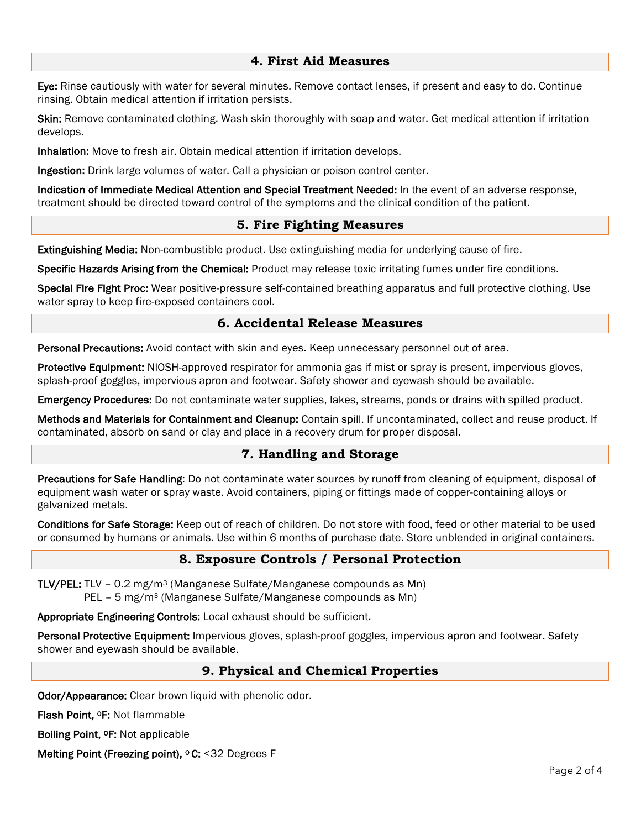#### **4. First Aid Measures**

Eye: Rinse cautiously with water for several minutes. Remove contact lenses, if present and easy to do. Continue rinsing. Obtain medical attention if irritation persists.

Skin: Remove contaminated clothing. Wash skin thoroughly with soap and water. Get medical attention if irritation develops.

Inhalation: Move to fresh air. Obtain medical attention if irritation develops.

Ingestion: Drink large volumes of water. Call a physician or poison control center.

Indication of Immediate Medical Attention and Special Treatment Needed: In the event of an adverse response, treatment should be directed toward control of the symptoms and the clinical condition of the patient.

#### **5. Fire Fighting Measures**

Extinguishing Media: Non-combustible product. Use extinguishing media for underlying cause of fire.

Specific Hazards Arising from the Chemical: Product may release toxic irritating fumes under fire conditions.

Special Fire Fight Proc: Wear positive-pressure self-contained breathing apparatus and full protective clothing. Use water spray to keep fire-exposed containers cool.

#### **6. Accidental Release Measures**

Personal Precautions: Avoid contact with skin and eyes. Keep unnecessary personnel out of area.

Protective Equipment: NIOSH-approved respirator for ammonia gas if mist or spray is present, impervious gloves, splash-proof goggles, impervious apron and footwear. Safety shower and eyewash should be available.

Emergency Procedures: Do not contaminate water supplies, lakes, streams, ponds or drains with spilled product.

Methods and Materials for Containment and Cleanup: Contain spill. If uncontaminated, collect and reuse product. If contaminated, absorb on sand or clay and place in a recovery drum for proper disposal.

## **7. Handling and Storage**

Precautions for Safe Handling: Do not contaminate water sources by runoff from cleaning of equipment, disposal of equipment wash water or spray waste. Avoid containers, piping or fittings made of copper-containing alloys or galvanized metals.

Conditions for Safe Storage: Keep out of reach of children. Do not store with food, feed or other material to be used or consumed by humans or animals. Use within 6 months of purchase date. Store unblended in original containers.

## **8. Exposure Controls / Personal Protection**

TLV/PEL: TLV – 0.2 mg/m3 (Manganese Sulfate/Manganese compounds as Mn) PEL – 5 mg/m3 (Manganese Sulfate/Manganese compounds as Mn)

Appropriate Engineering Controls: Local exhaust should be sufficient.

Personal Protective Equipment: Impervious gloves, splash-proof goggles, impervious apron and footwear. Safety shower and eyewash should be available.

## **9. Physical and Chemical Properties**

Odor/Appearance: Clear brown liquid with phenolic odor.

Flash Point, 0F: Not flammable

Boiling Point, 0F: Not applicable

Melting Point (Freezing point), <sup>o</sup> C: <32 Degrees F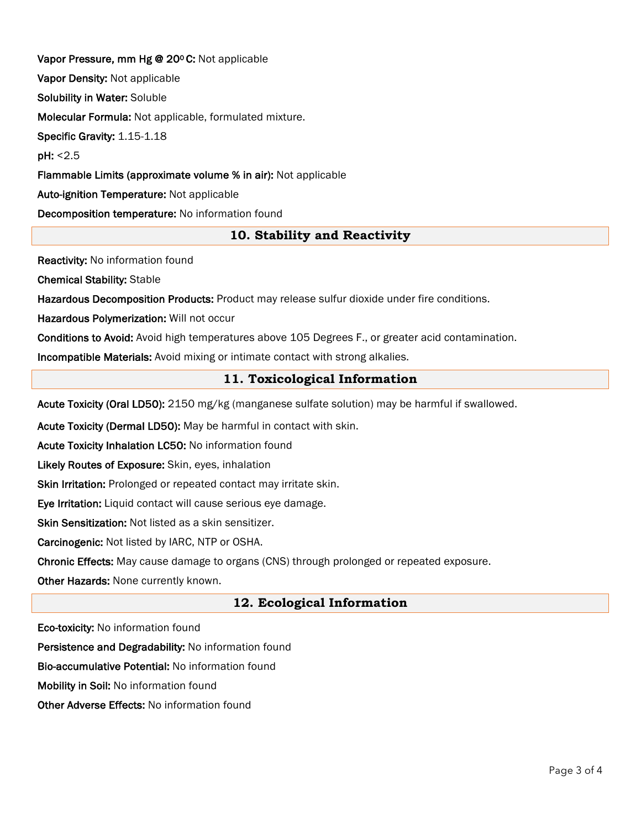Vapor Pressure, mm Hg @ 20ºC: Not applicable Vapor Density: Not applicable Solubility in Water: Soluble Molecular Formula: Not applicable, formulated mixture. Specific Gravity: 1.15-1.18 pH: <2.5 Flammable Limits (approximate volume % in air): Not applicable Auto-ignition Temperature: Not applicable Decomposition temperature: No information found

## **10. Stability and Reactivity**

Reactivity: No information found

Chemical Stability: Stable

Hazardous Decomposition Products: Product may release sulfur dioxide under fire conditions.

Hazardous Polymerization: Will not occur

Conditions to Avoid: Avoid high temperatures above 105 Degrees F., or greater acid contamination.

Incompatible Materials: Avoid mixing or intimate contact with strong alkalies.

## **11. Toxicological Information**

Acute Toxicity (Oral LD50): 2150 mg/kg (manganese sulfate solution) may be harmful if swallowed.

Acute Toxicity (Dermal LD50): May be harmful in contact with skin.

Acute Toxicity Inhalation LC50: No information found

Likely Routes of Exposure: Skin, eyes, inhalation

Skin Irritation: Prolonged or repeated contact may irritate skin.

Eye Irritation: Liquid contact will cause serious eye damage.

Skin Sensitization: Not listed as a skin sensitizer.

Carcinogenic: Not listed by IARC, NTP or OSHA.

Chronic Effects: May cause damage to organs (CNS) through prolonged or repeated exposure.

Other Hazards: None currently known.

## **12. Ecological Information**

Eco-toxicity: No information found

Persistence and Degradability: No information found

Bio-accumulative Potential: No information found

Mobility in Soil: No information found

Other Adverse Effects: No information found